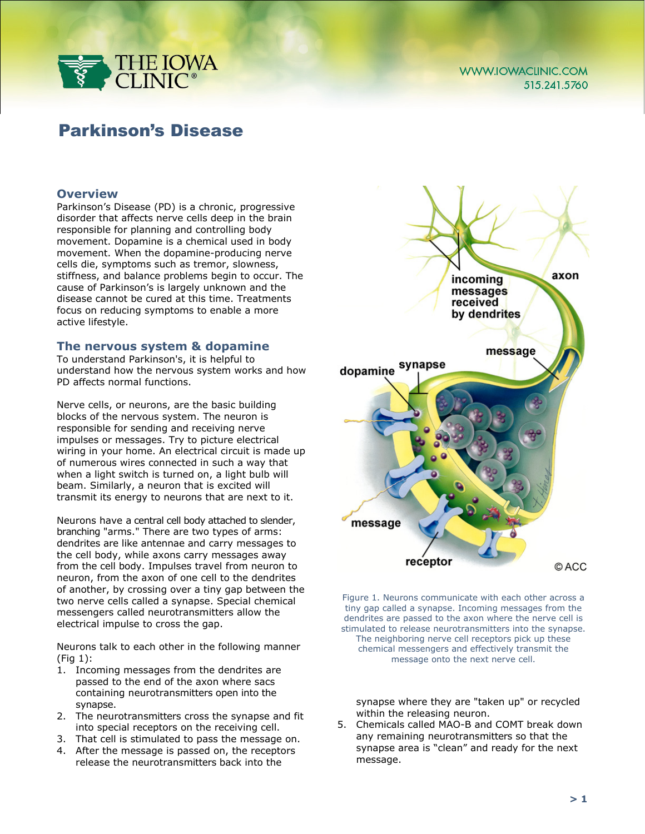

# Parkinson's Disease

## **Overview**

Parkinson's Disease (PD) is a chronic, progressive disorder that affects nerve cells deep in the brain responsible for planning and controlling body movement. Dopamine is a chemical used in body movement. When the dopamine-producing nerve cells die, symptoms such as tremor, slowness, stiffness, and balance problems begin to occur. The cause of Parkinson's is largely unknown and the disease cannot be cured at this time. Treatments focus on reducing symptoms to enable a more active lifestyle.

#### **The nervous system & dopamine**

To understand Parkinson's, it is helpful to understand how the nervous system works and how PD affects normal functions.

Nerve cells, or neurons, are the basic building blocks of the nervous system. The neuron is responsible for sending and receiving nerve impulses or messages. Try to picture electrical wiring in your home. An electrical circuit is made up of numerous wires connected in such a way that when a light switch is turned on, a light bulb will beam. Similarly, a neuron that is excited will transmit its energy to neurons that are next to it.

Neurons have a central cell body attached to slender, branching "arms." There are two types of arms: dendrites are like antennae and carry messages to the cell body, while axons carry messages away from the cell body. Impulses travel from neuron to neuron, from the axon of one cell to the dendrites of another, by crossing over a tiny gap between the two nerve cells called a synapse. Special chemical messengers called neurotransmitters allow the electrical impulse to cross the gap.

Neurons talk to each other in the following manner (Fig 1):

- 1. Incoming messages from the dendrites are passed to the end of the axon where sacs containing neurotransmitters open into the synapse.
- 2. The neurotransmitters cross the synapse and fit into special receptors on the receiving cell.
- 3. That cell is stimulated to pass the message on.
- 4. After the message is passed on, the receptors release the neurotransmitters back into the



Figure 1. Neurons communicate with each other across a tiny gap called a synapse. Incoming messages from the dendrites are passed to the axon where the nerve cell is stimulated to release neurotransmitters into the synapse. The neighboring nerve cell receptors pick up these chemical messengers and effectively transmit the message onto the next nerve cell.

synapse where they are "taken up" or recycled within the releasing neuron.

5. Chemicals called MAO-B and COMT break down any remaining neurotransmitters so that the synapse area is "clean" and ready for the next message.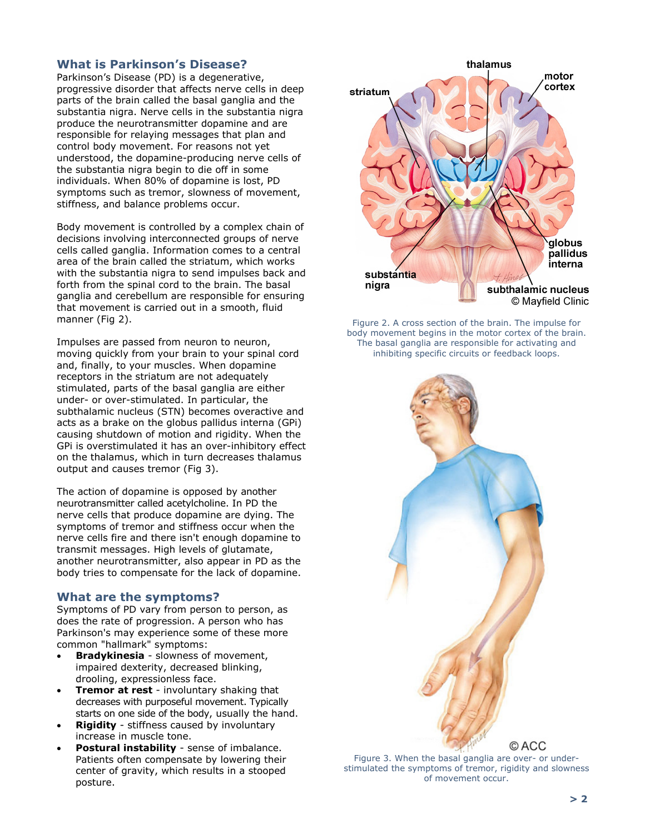# **What is Parkinson's Disease?**

Parkinson's Disease (PD) is a degenerative, progressive disorder that affects nerve cells in deep parts of the brain called the basal ganglia and the substantia nigra. Nerve cells in the substantia nigra produce the neurotransmitter dopamine and are responsible for relaying messages that plan and control body movement. For reasons not yet understood, the dopamine-producing nerve cells of the substantia nigra begin to die off in some individuals. When 80% of dopamine is lost, PD symptoms such as tremor, slowness of movement, stiffness, and balance problems occur.

Body movement is controlled by a complex chain of decisions involving interconnected groups of nerve cells called ganglia. Information comes to a central area of the brain called the striatum, which works with the substantia nigra to send impulses back and forth from the spinal cord to the brain. The basal ganglia and cerebellum are responsible for ensuring that movement is carried out in a smooth, fluid manner (Fig 2).

Impulses are passed from neuron to neuron, moving quickly from your brain to your spinal cord and, finally, to your muscles. When dopamine receptors in the striatum are not adequately stimulated, parts of the basal ganglia are either under- or over-stimulated. In particular, the subthalamic nucleus (STN) becomes overactive and acts as a brake on the globus pallidus interna (GPi) causing shutdown of motion and rigidity. When the GPi is overstimulated it has an over-inhibitory effect on the thalamus, which in turn decreases thalamus output and causes tremor (Fig 3).

The action of dopamine is opposed by another neurotransmitter called acetylcholine. In PD the nerve cells that produce dopamine are dying. The symptoms of tremor and stiffness occur when the nerve cells fire and there isn't enough dopamine to transmit messages. High levels of glutamate, another neurotransmitter, also appear in PD as the body tries to compensate for the lack of dopamine.

## **What are the symptoms?**

Symptoms of PD vary from person to person, as does the rate of progression. A person who has Parkinson's may experience some of these more common "hallmark" symptoms:

- **Bradykinesia** slowness of movement, impaired dexterity, decreased blinking, drooling, expressionless face.
- **Tremor at rest** involuntary shaking that decreases with purposeful movement. Typically starts on one side of the body, usually the hand.
- **Rigidity** stiffness caused by involuntary increase in muscle tone.
- **Postural instability** sense of imbalance. Patients often compensate by lowering their center of gravity, which results in a stooped posture.



Figure 2. A cross section of the brain. The impulse for body movement begins in the motor cortex of the brain. The basal ganglia are responsible for activating and inhibiting specific circuits or feedback loops.



Figure 3. When the basal ganglia are over- or understimulated the symptoms of tremor, rigidity and slowness of movement occur.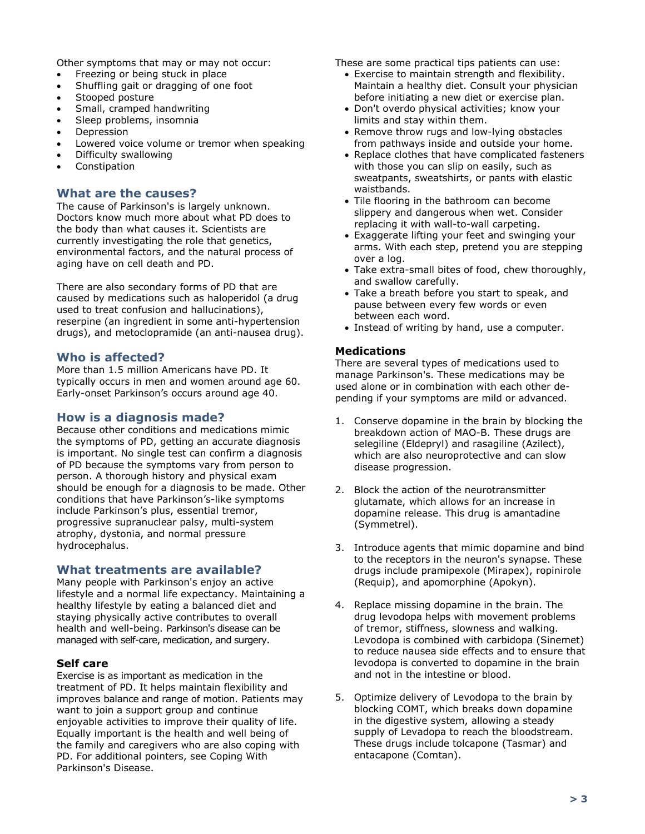Other symptoms that may or may not occur:

- Freezing or being stuck in place
- Shuffling gait or dragging of one foot
- Stooped posture
- Small, cramped handwriting
- Sleep problems, insomnia
- Depression
- Lowered voice volume or tremor when speaking
- Difficulty swallowing
- Constipation

## **What are the causes?**

The cause of Parkinson's is largely unknown. Doctors know much more about what PD does to the body than what causes it. Scientists are currently investigating the role that genetics, environmental factors, and the natural process of aging have on cell death and PD.

There are also secondary forms of PD that are caused by medications such as haloperidol (a drug used to treat confusion and hallucinations), reserpine (an ingredient in some anti-hypertension drugs), and metoclopramide (an anti-nausea drug).

## **Who is affected?**

More than 1.5 million Americans have PD. It typically occurs in men and women around age 60. Early-onset Parkinson's occurs around age 40.

## **How is a diagnosis made?**

Because other conditions and medications mimic the symptoms of PD, getting an accurate diagnosis is important. No single test can confirm a diagnosis of PD because the symptoms vary from person to person. A thorough history and physical exam should be enough for a diagnosis to be made. Other conditions that have Parkinson's-like symptoms include Parkinson's plus, essential tremor, progressive supranuclear palsy, multi-system atrophy, dystonia, and normal pressure hydrocephalus.

## **What treatments are available?**

Many people with Parkinson's enjoy an active lifestyle and a normal life expectancy. Maintaining a healthy lifestyle by eating a balanced diet and staying physically active contributes to overall health and well-being. Parkinson's disease can be managed with self-care, medication, and surgery.

#### **Self care**

Exercise is as important as medication in the treatment of PD. It helps maintain flexibility and improves balance and range of motion. Patients may want to join a support group and continue enjoyable activities to improve their quality of life. Equally important is the health and well being of the family and caregivers who are also coping with PD. For additional pointers, see Coping With Parkinson's Disease.

These are some practical tips patients can use:

- Exercise to maintain strength and flexibility. Maintain a healthy diet. Consult your physician before initiating a new diet or exercise plan.
- Don't overdo physical activities; know your limits and stay within them.
- Remove throw rugs and low-lying obstacles from pathways inside and outside your home.
- Replace clothes that have complicated fasteners with those you can slip on easily, such as sweatpants, sweatshirts, or pants with elastic waistbands.
- Tile flooring in the bathroom can become slippery and dangerous when wet. Consider replacing it with wall-to-wall carpeting.
- Exaggerate lifting your feet and swinging your arms. With each step, pretend you are stepping over a log.
- Take extra-small bites of food, chew thoroughly, and swallow carefully.
- Take a breath before you start to speak, and pause between every few words or even between each word.
- Instead of writing by hand, use a computer.

#### **Medications**

There are several types of medications used to manage Parkinson's. These medications may be used alone or in combination with each other depending if your symptoms are mild or advanced.

- 1. Conserve dopamine in the brain by blocking the breakdown action of MAO-B. These drugs are selegiline (Eldepryl) and rasagiline (Azilect), which are also neuroprotective and can slow disease progression.
- 2. Block the action of the neurotransmitter glutamate, which allows for an increase in dopamine release. This drug is amantadine (Symmetrel).
- 3. Introduce agents that mimic dopamine and bind to the receptors in the neuron's synapse. These drugs include pramipexole (Mirapex), ropinirole (Requip), and apomorphine (Apokyn).
- 4. Replace missing dopamine in the brain. The drug levodopa helps with movement problems of tremor, stiffness, slowness and walking. Levodopa is combined with carbidopa (Sinemet) to reduce nausea side effects and to ensure that levodopa is converted to dopamine in the brain and not in the intestine or blood.
- 5. Optimize delivery of Levodopa to the brain by blocking COMT, which breaks down dopamine in the digestive system, allowing a steady supply of Levadopa to reach the bloodstream. These drugs include tolcapone (Tasmar) and entacapone (Comtan).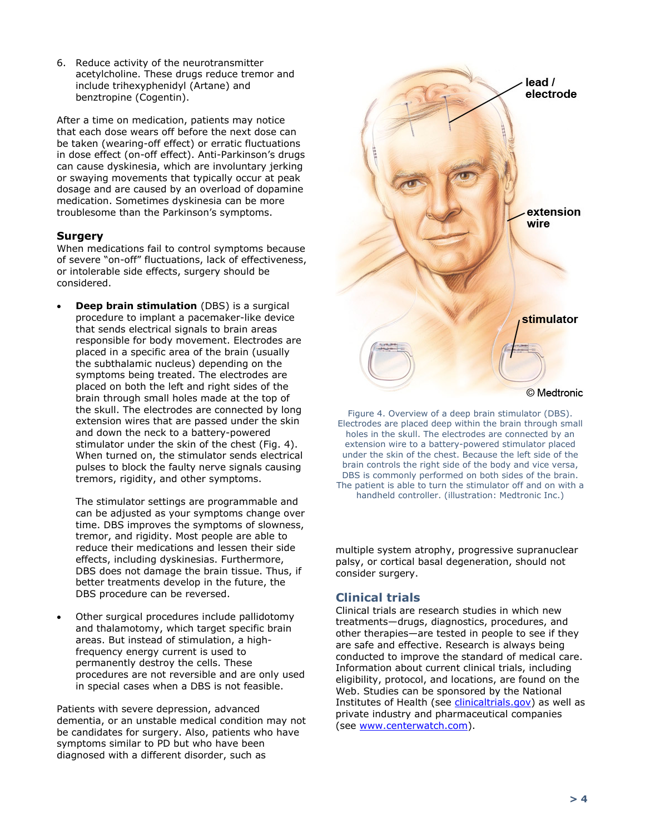6. Reduce activity of the neurotransmitter acetylcholine. These drugs reduce tremor and include trihexyphenidyl (Artane) and benztropine (Cogentin).

After a time on medication, patients may notice that each dose wears off before the next dose can be taken (wearing-off effect) or erratic fluctuations in dose effect (on-off effect). Anti-Parkinson's drugs can cause dyskinesia, which are involuntary jerking or swaying movements that typically occur at peak dosage and are caused by an overload of dopamine medication. Sometimes dyskinesia can be more troublesome than the Parkinson's symptoms.

## **Surgery**

When medications fail to control symptoms because of severe "on-off" fluctuations, lack of effectiveness, or intolerable side effects, surgery should be considered.

**Deep brain stimulation** (DBS) is a surgical procedure to implant a pacemaker-like device that sends electrical signals to brain areas responsible for body movement. Electrodes are placed in a specific area of the brain (usually the subthalamic nucleus) depending on the symptoms being treated. The electrodes are placed on both the left and right sides of the brain through small holes made at the top of the skull. The electrodes are connected by long extension wires that are passed under the skin and down the neck to a battery-powered stimulator under the skin of the chest (Fig. 4). When turned on, the stimulator sends electrical pulses to block the faulty nerve signals causing tremors, rigidity, and other symptoms.

The stimulator settings are programmable and can be adjusted as your symptoms change over time. DBS improves the symptoms of slowness, tremor, and rigidity. Most people are able to reduce their medications and lessen their side effects, including dyskinesias. Furthermore, DBS does not damage the brain tissue. Thus, if better treatments develop in the future, the DBS procedure can be reversed.

• Other surgical procedures include pallidotomy and thalamotomy, which target specific brain areas. But instead of stimulation, a highfrequency energy current is used to permanently destroy the cells. These procedures are not reversible and are only used in special cases when a DBS is not feasible.

Patients with severe depression, advanced dementia, or an unstable medical condition may not be candidates for surgery. Also, patients who have symptoms similar to PD but who have been diagnosed with a different disorder, such as



Figure 4. Overview of a deep brain stimulator (DBS). Electrodes are placed deep within the brain through small holes in the skull. The electrodes are connected by an extension wire to a battery-powered stimulator placed under the skin of the chest. Because the left side of the brain controls the right side of the body and vice versa, DBS is commonly performed on both sides of the brain. The patient is able to turn the stimulator off and on with a handheld controller. (illustration: Medtronic Inc.)

multiple system atrophy, progressive supranuclear palsy, or cortical basal degeneration, should not consider surgery.

# **Clinical trials**

Clinical trials are research studies in which new treatments—drugs, diagnostics, procedures, and other therapies—are tested in people to see if they are safe and effective. Research is always being conducted to improve the standard of medical care. Information about current clinical trials, including eligibility, protocol, and locations, are found on the Web. Studies can be sponsored by the National Institutes of Health (see [clinicaltrials.gov\)](http://clinicaltrials.gov/) as well as private industry and pharmaceutical companies (see [www.centerwatch.com\)](http://www.centerwatch.com/).